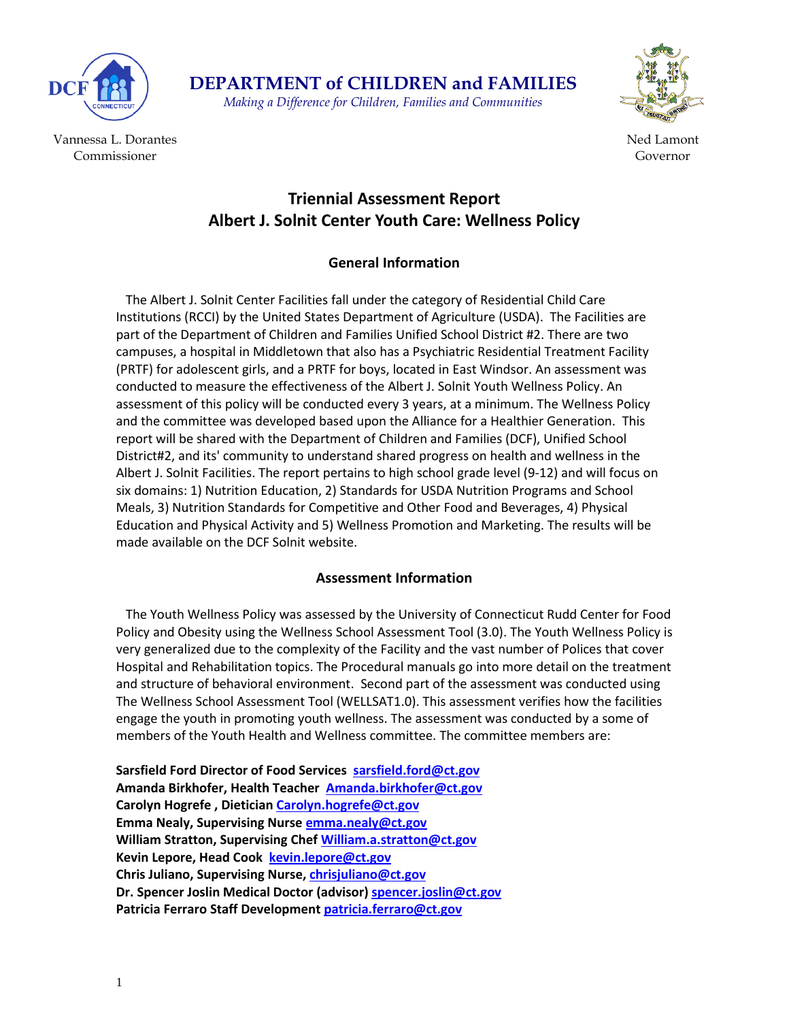

Vannessa L. Dorantes Commissioner



Ned Lamont Governor

### **Triennial Assessment Report Albert J. Solnit Center Youth Care: Wellness Policy**

**DEPARTMENT of CHILDREN and FAMILIES** *Making a Difference for Children, Families and Communities*

### **General Information**

 The Albert J. Solnit Center Facilities fall under the category of Residential Child Care Institutions (RCCI) by the United States Department of Agriculture (USDA). The Facilities are part of the Department of Children and Families Unified School District #2. There are two campuses, a hospital in Middletown that also has a Psychiatric Residential Treatment Facility (PRTF) for adolescent girls, and a PRTF for boys, located in East Windsor. An assessment was conducted to measure the effectiveness of the Albert J. Solnit Youth Wellness Policy. An assessment of this policy will be conducted every 3 years, at a minimum. The Wellness Policy and the committee was developed based upon the Alliance for a Healthier Generation. This report will be shared with the Department of Children and Families (DCF), Unified School District#2, and its' community to understand shared progress on health and wellness in the Albert J. Solnit Facilities. The report pertains to high school grade level (9-12) and will focus on six domains: 1) Nutrition Education, 2) Standards for USDA Nutrition Programs and School Meals, 3) Nutrition Standards for Competitive and Other Food and Beverages, 4) Physical Education and Physical Activity and 5) Wellness Promotion and Marketing. The results will be made available on the DCF Solnit website.

### **Assessment Information**

 The Youth Wellness Policy was assessed by the University of Connecticut Rudd Center for Food Policy and Obesity using the Wellness School Assessment Tool (3.0). The Youth Wellness Policy is very generalized due to the complexity of the Facility and the vast number of Polices that cover Hospital and Rehabilitation topics. The Procedural manuals go into more detail on the treatment and structure of behavioral environment. Second part of the assessment was conducted using The Wellness School Assessment Tool (WELLSAT1.0). This assessment verifies how the facilities engage the youth in promoting youth wellness. The assessment was conducted by a some of members of the Youth Health and Wellness committee. The committee members are:

**Sarsfield Ford Director of Food Services [sarsfield.ford@ct.gov](mailto:sarsfield.ford@ct.gov) Amanda Birkhofer, Health Teacher [Amanda.birkhofer@ct.gov](mailto:Amanda.birkhofer@ct.gov) Carolyn Hogrefe , Dieticia[n Carolyn.hogrefe@ct.gov](mailto:Carolyn.hogrefe@ct.gov) Emma Nealy, Supervising Nurse [emma.nealy@ct.gov](mailto:emma.nealy@ct.gov) William Stratton, Supervising Chef [William.a.stratton@ct.gov](mailto:William.a.stratton@ct.gov) Kevin Lepore, Head Cook [kevin.lepore@ct.gov](mailto:kevin.lepore@ct.gov) Chris Juliano, Supervising Nurse, [chrisjuliano@ct.gov](mailto:chrisjuliano@ct.gov) Dr. Spencer Joslin Medical Doctor (advisor) [spencer.joslin@ct.gov](mailto:spencer.joslin@ct.gov) Patricia Ferraro Staff Development [patricia.ferraro@ct.gov](mailto:patricia.ferraro@ct.gov)**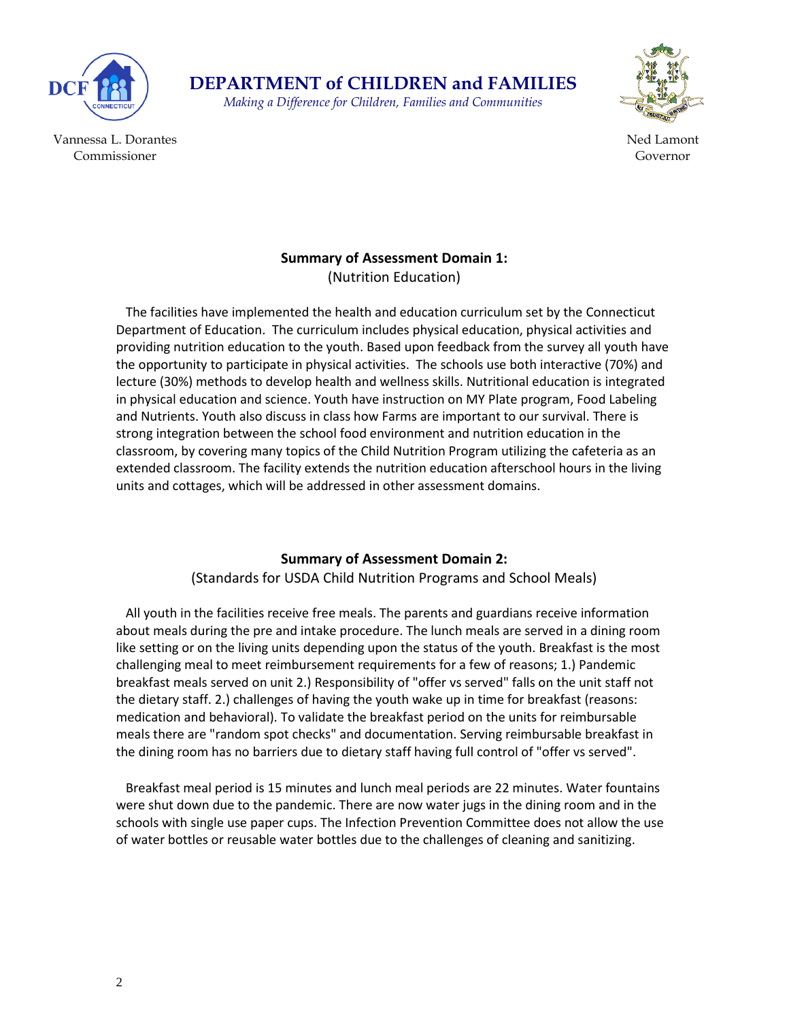

*Making a Difference for Children, Families and Communities*



Vannessa L. Dorantes Commissioner

#### Ned Lamont Governor

## **Summary of Assessment Domain 1:**

(Nutrition Education)

 The facilities have implemented the health and education curriculum set by the Connecticut Department of Education. The curriculum includes physical education, physical activities and providing nutrition education to the youth. Based upon feedback from the survey all youth have the opportunity to participate in physical activities. The schools use both interactive (70%) and lecture (30%) methods to develop health and wellness skills. Nutritional education is integrated in physical education and science. Youth have instruction on MY Plate program, Food Labeling and Nutrients. Youth also discuss in class how Farms are important to our survival. There is strong integration between the school food environment and nutrition education in the classroom, by covering many topics of the Child Nutrition Program utilizing the cafeteria as an extended classroom. The facility extends the nutrition education afterschool hours in the living units and cottages, which will be addressed in other assessment domains.

### **Summary of Assessment Domain 2:**

(Standards for USDA Child Nutrition Programs and School Meals)

 All youth in the facilities receive free meals. The parents and guardians receive information about meals during the pre and intake procedure. The lunch meals are served in a dining room like setting or on the living units depending upon the status of the youth. Breakfast is the most challenging meal to meet reimbursement requirements for a few of reasons; 1.) Pandemic breakfast meals served on unit 2.) Responsibility of "offer vs served" falls on the unit staff not the dietary staff. 2.) challenges of having the youth wake up in time for breakfast (reasons: medication and behavioral). To validate the breakfast period on the units for reimbursable meals there are "random spot checks" and documentation. Serving reimbursable breakfast in the dining room has no barriers due to dietary staff having full control of "offer vs served".

 Breakfast meal period is 15 minutes and lunch meal periods are 22 minutes. Water fountains were shut down due to the pandemic. There are now water jugs in the dining room and in the schools with single use paper cups. The Infection Prevention Committee does not allow the use of water bottles or reusable water bottles due to the challenges of cleaning and sanitizing.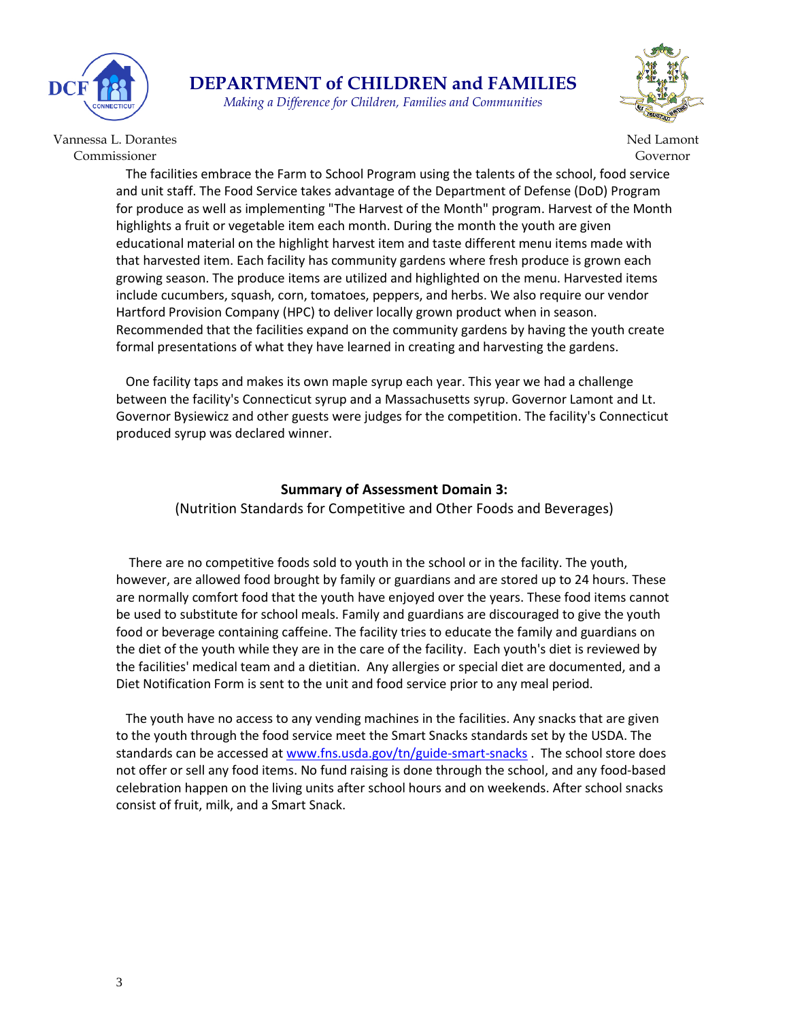

*Making a Difference for Children, Families and Communities*



Vannessa L. Dorantes Commissioner

Ned Lamont Governor

 The facilities embrace the Farm to School Program using the talents of the school, food service and unit staff. The Food Service takes advantage of the Department of Defense (DoD) Program for produce as well as implementing "The Harvest of the Month" program. Harvest of the Month highlights a fruit or vegetable item each month. During the month the youth are given educational material on the highlight harvest item and taste different menu items made with that harvested item. Each facility has community gardens where fresh produce is grown each growing season. The produce items are utilized and highlighted on the menu. Harvested items include cucumbers, squash, corn, tomatoes, peppers, and herbs. We also require our vendor Hartford Provision Company (HPC) to deliver locally grown product when in season. Recommended that the facilities expand on the community gardens by having the youth create formal presentations of what they have learned in creating and harvesting the gardens.

 One facility taps and makes its own maple syrup each year. This year we had a challenge between the facility's Connecticut syrup and a Massachusetts syrup. Governor Lamont and Lt. Governor Bysiewicz and other guests were judges for the competition. The facility's Connecticut produced syrup was declared winner.

#### **Summary of Assessment Domain 3:**

(Nutrition Standards for Competitive and Other Foods and Beverages)

 There are no competitive foods sold to youth in the school or in the facility. The youth, however, are allowed food brought by family or guardians and are stored up to 24 hours. These are normally comfort food that the youth have enjoyed over the years. These food items cannot be used to substitute for school meals. Family and guardians are discouraged to give the youth food or beverage containing caffeine. The facility tries to educate the family and guardians on the diet of the youth while they are in the care of the facility. Each youth's diet is reviewed by the facilities' medical team and a dietitian. Any allergies or special diet are documented, and a Diet Notification Form is sent to the unit and food service prior to any meal period.

 The youth have no access to any vending machines in the facilities. Any snacks that are given to the youth through the food service meet the Smart Snacks standards set by the USDA. The standards can be accessed at [www.fns.usda.gov/tn/guide-smart-snacks](http://www.fns.usda.gov/tn/guide-smart-snacks). The school store does not offer or sell any food items. No fund raising is done through the school, and any food-based celebration happen on the living units after school hours and on weekends. After school snacks consist of fruit, milk, and a Smart Snack.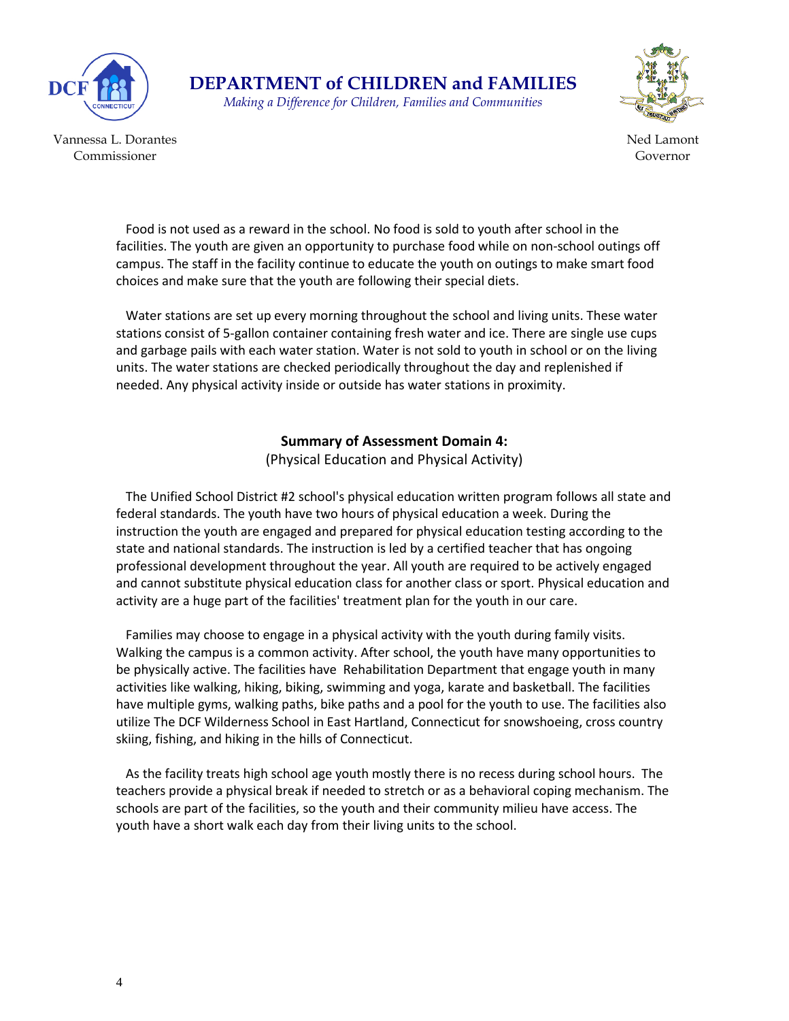

**DEPARTMENT of CHILDREN and FAMILIES** *Making a Difference for Children, Families and Communities*



Vannessa L. Dorantes Commissioner

Ned Lamont Governor

 Food is not used as a reward in the school. No food is sold to youth after school in the facilities. The youth are given an opportunity to purchase food while on non-school outings off campus. The staff in the facility continue to educate the youth on outings to make smart food choices and make sure that the youth are following their special diets.

 Water stations are set up every morning throughout the school and living units. These water stations consist of 5-gallon container containing fresh water and ice. There are single use cups and garbage pails with each water station. Water is not sold to youth in school or on the living units. The water stations are checked periodically throughout the day and replenished if needed. Any physical activity inside or outside has water stations in proximity.

#### **Summary of Assessment Domain 4:**

(Physical Education and Physical Activity)

 The Unified School District #2 school's physical education written program follows all state and federal standards. The youth have two hours of physical education a week. During the instruction the youth are engaged and prepared for physical education testing according to the state and national standards. The instruction is led by a certified teacher that has ongoing professional development throughout the year. All youth are required to be actively engaged and cannot substitute physical education class for another class or sport. Physical education and activity are a huge part of the facilities' treatment plan for the youth in our care.

 Families may choose to engage in a physical activity with the youth during family visits. Walking the campus is a common activity. After school, the youth have many opportunities to be physically active. The facilities have Rehabilitation Department that engage youth in many activities like walking, hiking, biking, swimming and yoga, karate and basketball. The facilities have multiple gyms, walking paths, bike paths and a pool for the youth to use. The facilities also utilize The DCF Wilderness School in East Hartland, Connecticut for snowshoeing, cross country skiing, fishing, and hiking in the hills of Connecticut.

 As the facility treats high school age youth mostly there is no recess during school hours. The teachers provide a physical break if needed to stretch or as a behavioral coping mechanism. The schools are part of the facilities, so the youth and their community milieu have access. The youth have a short walk each day from their living units to the school.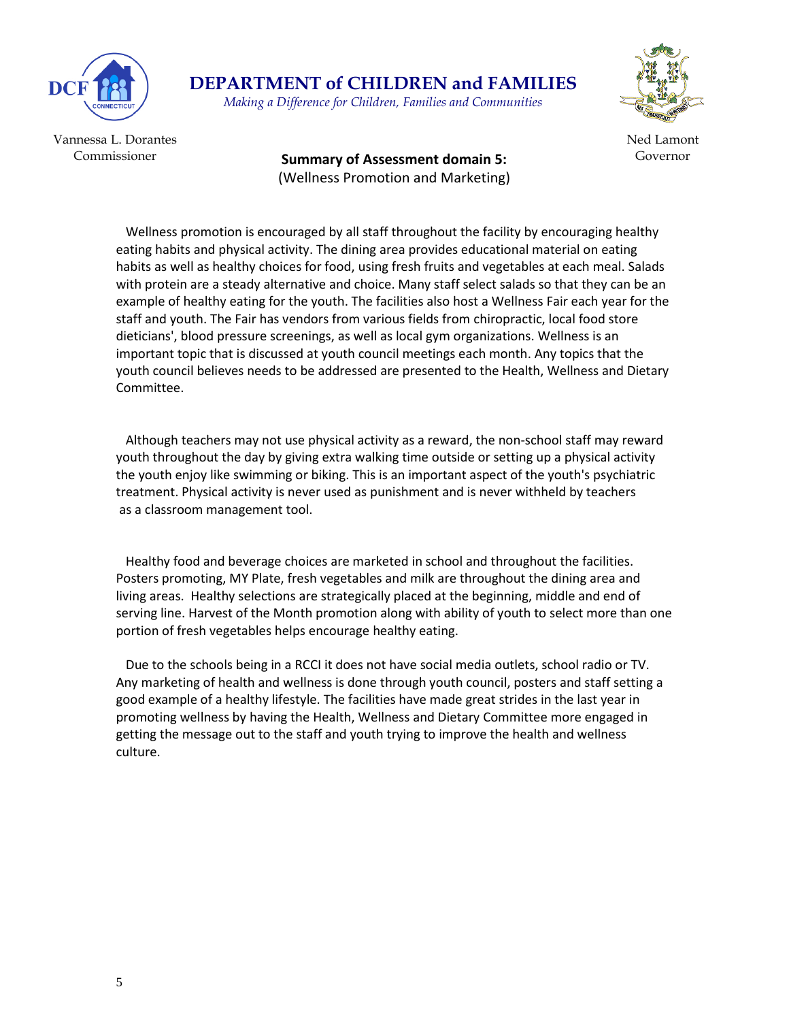

*Making a Difference for Children, Families and Communities*



Vannessa L. Dorantes Commissioner

Governor **Summary of Assessment domain 5:**  (Wellness Promotion and Marketing)

Ned Lamont

 Wellness promotion is encouraged by all staff throughout the facility by encouraging healthy eating habits and physical activity. The dining area provides educational material on eating habits as well as healthy choices for food, using fresh fruits and vegetables at each meal. Salads with protein are a steady alternative and choice. Many staff select salads so that they can be an example of healthy eating for the youth. The facilities also host a Wellness Fair each year for the staff and youth. The Fair has vendors from various fields from chiropractic, local food store dieticians', blood pressure screenings, as well as local gym organizations. Wellness is an important topic that is discussed at youth council meetings each month. Any topics that the youth council believes needs to be addressed are presented to the Health, Wellness and Dietary Committee.

 Although teachers may not use physical activity as a reward, the non-school staff may reward youth throughout the day by giving extra walking time outside or setting up a physical activity the youth enjoy like swimming or biking. This is an important aspect of the youth's psychiatric treatment. Physical activity is never used as punishment and is never withheld by teachers as a classroom management tool.

 Healthy food and beverage choices are marketed in school and throughout the facilities. Posters promoting, MY Plate, fresh vegetables and milk are throughout the dining area and living areas. Healthy selections are strategically placed at the beginning, middle and end of serving line. Harvest of the Month promotion along with ability of youth to select more than one portion of fresh vegetables helps encourage healthy eating.

 Due to the schools being in a RCCI it does not have social media outlets, school radio or TV. Any marketing of health and wellness is done through youth council, posters and staff setting a good example of a healthy lifestyle. The facilities have made great strides in the last year in promoting wellness by having the Health, Wellness and Dietary Committee more engaged in getting the message out to the staff and youth trying to improve the health and wellness culture.